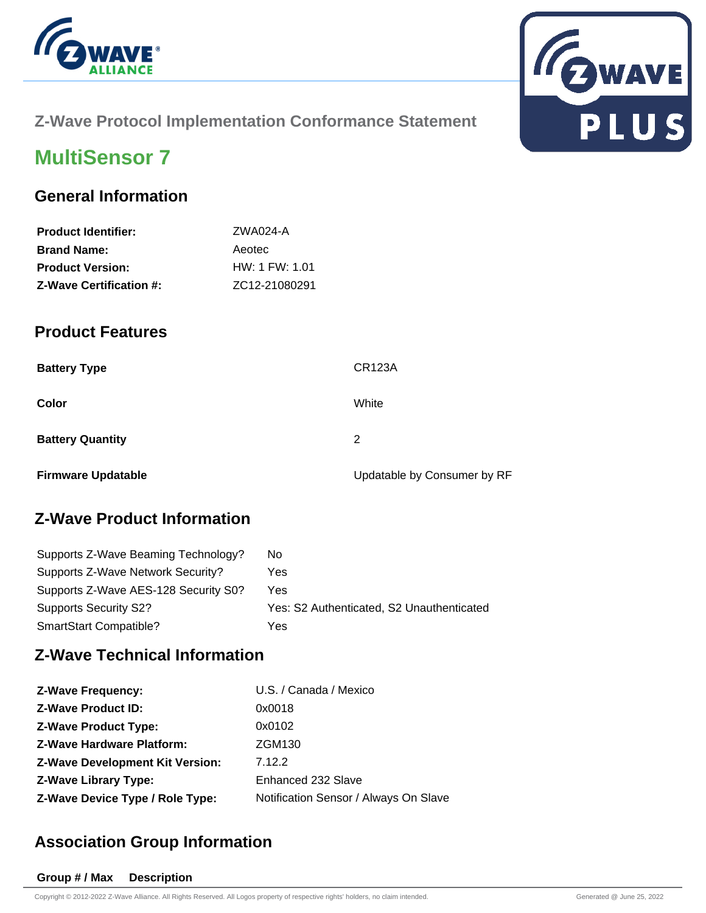



#### **Z-Wave Protocol Implementation Conformance Statement**

# **MultiSensor 7**

#### **General Information**

| <b>Product Identifier:</b>     | ZWA024-A       |
|--------------------------------|----------------|
| <b>Brand Name:</b>             | Aeotec         |
| <b>Product Version:</b>        | HW: 1 FW: 1.01 |
| <b>Z-Wave Certification #:</b> | ZC12-21080291  |

#### **Product Features**

| <b>Battery Type</b>       | <b>CR123A</b>               |
|---------------------------|-----------------------------|
| Color                     | White                       |
| <b>Battery Quantity</b>   | 2                           |
| <b>Firmware Updatable</b> | Updatable by Consumer by RF |

## **Z-Wave Product Information**

| Supports Z-Wave Beaming Technology?  | No.                                       |
|--------------------------------------|-------------------------------------------|
| Supports Z-Wave Network Security?    | Yes                                       |
| Supports Z-Wave AES-128 Security S0? | Yes                                       |
| <b>Supports Security S2?</b>         | Yes: S2 Authenticated, S2 Unauthenticated |
| SmartStart Compatible?               | Yes                                       |

#### **Z-Wave Technical Information**

| <b>Z-Wave Frequency:</b>               | U.S. / Canada / Mexico                |
|----------------------------------------|---------------------------------------|
| <b>Z-Wave Product ID:</b>              | 0x0018                                |
| <b>Z-Wave Product Type:</b>            | 0x0102                                |
| <b>Z-Wave Hardware Platform:</b>       | <b>ZGM130</b>                         |
| <b>Z-Wave Development Kit Version:</b> | 7.12.2                                |
| <b>Z-Wave Library Type:</b>            | Enhanced 232 Slave                    |
| Z-Wave Device Type / Role Type:        | Notification Sensor / Always On Slave |

## **Association Group Information**

#### **Group # / Max Description**